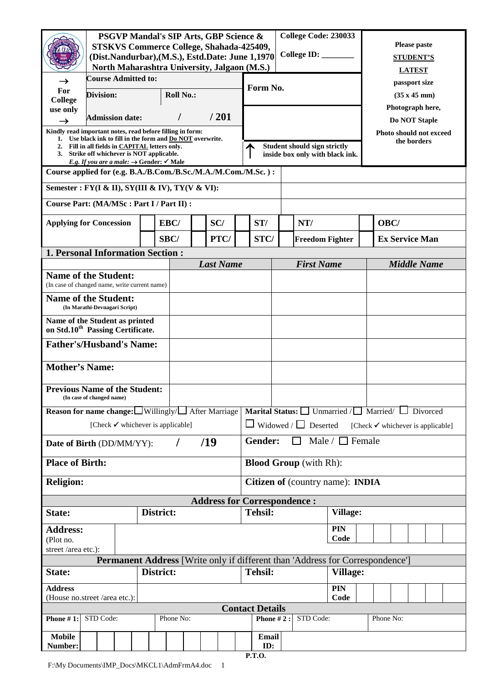|                                                                                                                                                                                                                                             | College Code: 230033<br><b>PSGVP Mandal's SIP Arts, GBP Science &amp;</b><br><b>STSKVS Commerce College, Shahada-425409,</b><br>College ID: ________<br>(Dist.Nandurbar), (M.S.), Estd.Date: June 1,1970 |           |                        |  |  |                                              |  |                  |                                                                        |                |                                                                                                 |                 | <b>Please paste</b><br><b>STUDENT'S</b> |                                                                          |                    |                                   |                                              |                       |  |  |  |  |
|---------------------------------------------------------------------------------------------------------------------------------------------------------------------------------------------------------------------------------------------|----------------------------------------------------------------------------------------------------------------------------------------------------------------------------------------------------------|-----------|------------------------|--|--|----------------------------------------------|--|------------------|------------------------------------------------------------------------|----------------|-------------------------------------------------------------------------------------------------|-----------------|-----------------------------------------|--------------------------------------------------------------------------|--------------------|-----------------------------------|----------------------------------------------|-----------------------|--|--|--|--|
|                                                                                                                                                                                                                                             |                                                                                                                                                                                                          |           |                        |  |  |                                              |  |                  |                                                                        |                | North Maharashtra University, Jalgaon (M.S.)                                                    |                 |                                         |                                                                          |                    |                                   | <b>LATEST</b>                                |                       |  |  |  |  |
|                                                                                                                                                                                                                                             | <b>Course Admitted to:</b>                                                                                                                                                                               |           |                        |  |  |                                              |  |                  |                                                                        |                |                                                                                                 |                 |                                         |                                                                          | passport size      |                                   |                                              |                       |  |  |  |  |
| For<br>College                                                                                                                                                                                                                              | <b>Roll No.:</b><br><b>Division:</b>                                                                                                                                                                     |           |                        |  |  |                                              |  | Form No.         |                                                                        |                |                                                                                                 |                 |                                         |                                                                          | (35 x 45 mm)       |                                   |                                              |                       |  |  |  |  |
| use only<br>$\rightarrow$                                                                                                                                                                                                                   |                                                                                                                                                                                                          |           | <b>Admission date:</b> |  |  | I                                            |  | /201             |                                                                        |                |                                                                                                 |                 |                                         |                                                                          |                    | Photograph here,<br>Do NOT Staple |                                              |                       |  |  |  |  |
| Kindly read important notes, read before filling in form:                                                                                                                                                                                   |                                                                                                                                                                                                          |           |                        |  |  |                                              |  |                  |                                                                        |                |                                                                                                 |                 |                                         |                                                                          |                    |                                   | Photo should not exceed                      |                       |  |  |  |  |
| 1. Use black ink to fill in the form and <b>Do NOT</b> overwrite.<br>2. Fill in all fields in CAPITAL letters only.<br>3. Strike off whichever is NOT applicable.<br><i>E.g. If you are a male:</i> $\rightarrow$ Gender: $\checkmark$ Male |                                                                                                                                                                                                          |           |                        |  |  |                                              |  |                  | <b>Student should sign strictly</b><br>inside box only with black ink. |                |                                                                                                 |                 |                                         |                                                                          | the borders        |                                   |                                              |                       |  |  |  |  |
| Course applied for (e.g. B.A./B.Com./B.Sc./M.A./M.Com./M.Sc.):                                                                                                                                                                              |                                                                                                                                                                                                          |           |                        |  |  |                                              |  |                  |                                                                        |                |                                                                                                 |                 |                                         |                                                                          |                    |                                   |                                              |                       |  |  |  |  |
| Semester : FY(I & II), SY(III & IV), TY(V & VI):                                                                                                                                                                                            |                                                                                                                                                                                                          |           |                        |  |  |                                              |  |                  |                                                                        |                |                                                                                                 |                 |                                         |                                                                          |                    |                                   |                                              |                       |  |  |  |  |
| Course Part: (MA/MSc: Part I / Part II) :                                                                                                                                                                                                   |                                                                                                                                                                                                          |           |                        |  |  |                                              |  |                  |                                                                        |                |                                                                                                 |                 |                                         |                                                                          |                    |                                   |                                              |                       |  |  |  |  |
| <b>Applying for Concession</b>                                                                                                                                                                                                              |                                                                                                                                                                                                          |           |                        |  |  | EBC/                                         |  |                  | SC/                                                                    |                | ST/                                                                                             |                 | NT/                                     |                                                                          |                    |                                   | OBC/                                         |                       |  |  |  |  |
|                                                                                                                                                                                                                                             |                                                                                                                                                                                                          |           |                        |  |  | SBC/                                         |  |                  | PTC/                                                                   |                | STC/                                                                                            |                 |                                         | <b>Freedom Fighter</b>                                                   |                    |                                   |                                              | <b>Ex Service Man</b> |  |  |  |  |
| <b>1. Personal Information Section:</b>                                                                                                                                                                                                     |                                                                                                                                                                                                          |           |                        |  |  |                                              |  |                  |                                                                        |                |                                                                                                 |                 |                                         |                                                                          |                    |                                   |                                              |                       |  |  |  |  |
| <b>Name of the Student:</b>                                                                                                                                                                                                                 |                                                                                                                                                                                                          |           |                        |  |  |                                              |  | <b>Last Name</b> |                                                                        |                | <b>First Name</b>                                                                               |                 |                                         |                                                                          | <b>Middle Name</b> |                                   |                                              |                       |  |  |  |  |
| (In case of changed name, write current name)                                                                                                                                                                                               |                                                                                                                                                                                                          |           |                        |  |  |                                              |  |                  |                                                                        |                |                                                                                                 |                 |                                         |                                                                          |                    |                                   |                                              |                       |  |  |  |  |
|                                                                                                                                                                                                                                             | <b>Name of the Student:</b><br>(In Marathi-Devnagari Script)                                                                                                                                             |           |                        |  |  |                                              |  |                  |                                                                        |                |                                                                                                 |                 |                                         |                                                                          |                    |                                   |                                              |                       |  |  |  |  |
| Name of the Student as printed<br>on Std.10 <sup>th</sup> Passing Certificate.                                                                                                                                                              |                                                                                                                                                                                                          |           |                        |  |  |                                              |  |                  |                                                                        |                |                                                                                                 |                 |                                         |                                                                          |                    |                                   |                                              |                       |  |  |  |  |
| <b>Father's/Husband's Name:</b>                                                                                                                                                                                                             |                                                                                                                                                                                                          |           |                        |  |  |                                              |  |                  |                                                                        |                |                                                                                                 |                 |                                         |                                                                          |                    |                                   |                                              |                       |  |  |  |  |
| <b>Mother's Name:</b>                                                                                                                                                                                                                       |                                                                                                                                                                                                          |           |                        |  |  |                                              |  |                  |                                                                        |                |                                                                                                 |                 |                                         |                                                                          |                    |                                   |                                              |                       |  |  |  |  |
| <b>Previous Name of the Student:</b><br>(In case of changed name)                                                                                                                                                                           |                                                                                                                                                                                                          |           |                        |  |  |                                              |  |                  |                                                                        |                |                                                                                                 |                 |                                         |                                                                          |                    |                                   |                                              |                       |  |  |  |  |
| <b>Reason for name change:</b> $\Box$ Willingly/ $\Box$ After Marriage                                                                                                                                                                      |                                                                                                                                                                                                          |           |                        |  |  |                                              |  |                  |                                                                        |                |                                                                                                 |                 |                                         | <b>Marital Status:</b> $\Box$ Unmarried / $\Box$ Married $\Box$ Divorced |                    |                                   |                                              |                       |  |  |  |  |
|                                                                                                                                                                                                                                             |                                                                                                                                                                                                          |           |                        |  |  | [Check $\checkmark$ whichever is applicable] |  |                  |                                                                        |                |                                                                                                 |                 |                                         | $\Box$ Widowed / $\Box$ Deserted                                         |                    |                                   | [Check $\checkmark$ whichever is applicable] |                       |  |  |  |  |
|                                                                                                                                                                                                                                             | /19<br>Date of Birth (DD/MM/YY):<br>T                                                                                                                                                                    |           |                        |  |  |                                              |  |                  |                                                                        | Gender:        |                                                                                                 | $\mathbf{1}$    |                                         | Male / $\Box$ Female                                                     |                    |                                   |                                              |                       |  |  |  |  |
| <b>Place of Birth:</b>                                                                                                                                                                                                                      |                                                                                                                                                                                                          |           |                        |  |  |                                              |  |                  |                                                                        |                |                                                                                                 |                 |                                         | <b>Blood Group</b> (with Rh):                                            |                    |                                   |                                              |                       |  |  |  |  |
| <b>Religion:</b>                                                                                                                                                                                                                            |                                                                                                                                                                                                          |           |                        |  |  |                                              |  |                  |                                                                        |                |                                                                                                 |                 |                                         | <b>Citizen of (country name): INDIA</b>                                  |                    |                                   |                                              |                       |  |  |  |  |
|                                                                                                                                                                                                                                             |                                                                                                                                                                                                          |           |                        |  |  |                                              |  |                  |                                                                        |                | <b>Address for Correspondence:</b>                                                              |                 |                                         |                                                                          |                    |                                   |                                              |                       |  |  |  |  |
| District:<br>State:                                                                                                                                                                                                                         |                                                                                                                                                                                                          |           |                        |  |  |                                              |  |                  |                                                                        | <b>Tehsil:</b> |                                                                                                 | <b>Village:</b> |                                         |                                                                          |                    |                                   |                                              |                       |  |  |  |  |
| <b>Address:</b><br>(Plot no.                                                                                                                                                                                                                |                                                                                                                                                                                                          |           |                        |  |  |                                              |  |                  |                                                                        |                |                                                                                                 |                 | <b>PIN</b><br>Code                      |                                                                          |                    |                                   |                                              |                       |  |  |  |  |
| street /area etc.):                                                                                                                                                                                                                         |                                                                                                                                                                                                          |           |                        |  |  |                                              |  |                  |                                                                        |                |                                                                                                 |                 |                                         |                                                                          |                    |                                   |                                              |                       |  |  |  |  |
| State:<br>District:                                                                                                                                                                                                                         |                                                                                                                                                                                                          |           |                        |  |  |                                              |  |                  |                                                                        |                | Permanent Address [Write only if different than 'Address for Correspondence']<br><b>Tehsil:</b> |                 |                                         | <b>Village:</b>                                                          |                    |                                   |                                              |                       |  |  |  |  |
| PIN<br><b>Address</b><br>Code<br>(House no.street /area etc.):                                                                                                                                                                              |                                                                                                                                                                                                          |           |                        |  |  |                                              |  |                  |                                                                        |                |                                                                                                 |                 |                                         |                                                                          |                    |                                   |                                              |                       |  |  |  |  |
|                                                                                                                                                                                                                                             | <b>Contact Details</b>                                                                                                                                                                                   |           |                        |  |  |                                              |  |                  |                                                                        |                |                                                                                                 |                 |                                         |                                                                          |                    |                                   |                                              |                       |  |  |  |  |
| <b>Phone #1:</b>                                                                                                                                                                                                                            |                                                                                                                                                                                                          | STD Code: |                        |  |  | Phone No:                                    |  |                  |                                                                        |                |                                                                                                 | Phone $#2$ :    |                                         | STD Code:                                                                |                    |                                   | Phone No:                                    |                       |  |  |  |  |
| <b>Mobile</b><br>Number:                                                                                                                                                                                                                    |                                                                                                                                                                                                          |           |                        |  |  |                                              |  |                  |                                                                        |                | Email<br>ID:<br>$\mathbf{p} \mathbf{T} \mathbf{O}$                                              |                 |                                         |                                                                          |                    |                                   |                                              |                       |  |  |  |  |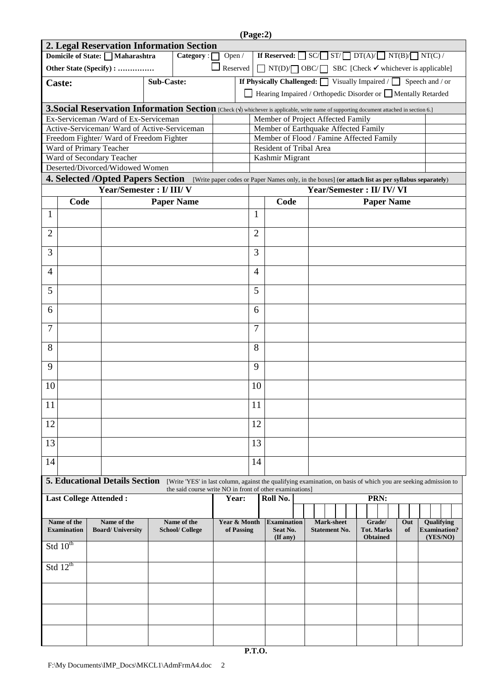| (Page:2)                                     |                                                                                                                                                                        |                                                                                                                                         |        |                                                                                                                                                                             |                                                                                    |                                                                                  |                |                                                                           |  |                                           |                             |           |                                   |  |  |  |
|----------------------------------------------|------------------------------------------------------------------------------------------------------------------------------------------------------------------------|-----------------------------------------------------------------------------------------------------------------------------------------|--------|-----------------------------------------------------------------------------------------------------------------------------------------------------------------------------|------------------------------------------------------------------------------------|----------------------------------------------------------------------------------|----------------|---------------------------------------------------------------------------|--|-------------------------------------------|-----------------------------|-----------|-----------------------------------|--|--|--|
| 2. Legal Reservation Information Section     |                                                                                                                                                                        |                                                                                                                                         |        |                                                                                                                                                                             |                                                                                    |                                                                                  |                |                                                                           |  |                                           |                             |           |                                   |  |  |  |
|                                              | Domicile of State: Maharashtra                                                                                                                                         | Category:                                                                                                                               | Open / |                                                                                                                                                                             | If Reserved: $\Box$ SC/ $\Box$ ST/ $\Box$ DT(A)/ $\Box$ NT(B)/ $\Box$ NT(C)/       |                                                                                  |                |                                                                           |  |                                           |                             |           |                                   |  |  |  |
|                                              |                                                                                                                                                                        | Other State (Specify) :                                                                                                                 |        | $\Box$ Reserved                                                                                                                                                             |                                                                                    | $\Box$ NT(D) $\Box$ OBC/ $\Box$ SBC [Check $\checkmark$ whichever is applicable] |                |                                                                           |  |                                           |                             |           |                                   |  |  |  |
|                                              | <b>Caste:</b>                                                                                                                                                          | <b>Sub-Caste:</b>                                                                                                                       |        |                                                                                                                                                                             | <b>If Physically Challenged:</b> $\Box$ Visually Impaired / $\Box$ Speech and / or |                                                                                  |                |                                                                           |  |                                           |                             |           |                                   |  |  |  |
|                                              |                                                                                                                                                                        |                                                                                                                                         |        |                                                                                                                                                                             |                                                                                    |                                                                                  |                | Hearing Impaired / Orthopedic Disorder or Mentally Retarded               |  |                                           |                             |           |                                   |  |  |  |
|                                              |                                                                                                                                                                        | 3. Social Reservation Information Section [Check (V) whichever is applicable, write name of supporting document attached in section 6.] |        |                                                                                                                                                                             |                                                                                    |                                                                                  |                |                                                                           |  |                                           |                             |           |                                   |  |  |  |
|                                              |                                                                                                                                                                        | Ex-Serviceman /Ward of Ex-Serviceman                                                                                                    |        |                                                                                                                                                                             |                                                                                    |                                                                                  |                |                                                                           |  |                                           |                             |           |                                   |  |  |  |
| Active-Serviceman/ Ward of Active-Serviceman |                                                                                                                                                                        |                                                                                                                                         |        |                                                                                                                                                                             |                                                                                    |                                                                                  |                | Member of Project Affected Family<br>Member of Earthquake Affected Family |  |                                           |                             |           |                                   |  |  |  |
|                                              |                                                                                                                                                                        | Freedom Fighter/Ward of Freedom Fighter                                                                                                 |        |                                                                                                                                                                             |                                                                                    |                                                                                  |                | Member of Flood / Famine Affected Family                                  |  |                                           |                             |           |                                   |  |  |  |
|                                              |                                                                                                                                                                        | Ward of Primary Teacher                                                                                                                 |        |                                                                                                                                                                             |                                                                                    |                                                                                  |                | Resident of Tribal Area                                                   |  |                                           |                             |           |                                   |  |  |  |
|                                              |                                                                                                                                                                        | Ward of Secondary Teacher                                                                                                               |        |                                                                                                                                                                             |                                                                                    |                                                                                  |                | Kashmir Migrant                                                           |  |                                           |                             |           |                                   |  |  |  |
|                                              | Deserted/Divorced/Widowed Women<br>4. Selected /Opted Papers Section [Write paper codes or Paper Names only, in the boxes] (or attach list as per syllabus separately) |                                                                                                                                         |        |                                                                                                                                                                             |                                                                                    |                                                                                  |                |                                                                           |  |                                           |                             |           |                                   |  |  |  |
|                                              |                                                                                                                                                                        | Year/Semester: I/ III/ V                                                                                                                |        |                                                                                                                                                                             |                                                                                    |                                                                                  |                |                                                                           |  |                                           | Year/Semester: II/ IV/ VI   |           |                                   |  |  |  |
|                                              | Code                                                                                                                                                                   |                                                                                                                                         |        | <b>Paper Name</b>                                                                                                                                                           |                                                                                    |                                                                                  |                | Code                                                                      |  |                                           | <b>Paper Name</b>           |           |                                   |  |  |  |
| 1                                            |                                                                                                                                                                        |                                                                                                                                         |        |                                                                                                                                                                             |                                                                                    |                                                                                  | 1              |                                                                           |  |                                           |                             |           |                                   |  |  |  |
| 2                                            |                                                                                                                                                                        |                                                                                                                                         |        |                                                                                                                                                                             |                                                                                    |                                                                                  | $\overline{2}$ |                                                                           |  |                                           |                             |           |                                   |  |  |  |
| 3                                            |                                                                                                                                                                        |                                                                                                                                         |        |                                                                                                                                                                             |                                                                                    |                                                                                  | 3              |                                                                           |  |                                           |                             |           |                                   |  |  |  |
| $\overline{4}$                               |                                                                                                                                                                        |                                                                                                                                         |        |                                                                                                                                                                             |                                                                                    |                                                                                  | $\overline{4}$ |                                                                           |  |                                           |                             |           |                                   |  |  |  |
| 5                                            |                                                                                                                                                                        |                                                                                                                                         |        |                                                                                                                                                                             |                                                                                    |                                                                                  | 5              |                                                                           |  |                                           |                             |           |                                   |  |  |  |
| 6                                            |                                                                                                                                                                        |                                                                                                                                         |        |                                                                                                                                                                             |                                                                                    |                                                                                  | 6              |                                                                           |  |                                           |                             |           |                                   |  |  |  |
| 7                                            |                                                                                                                                                                        |                                                                                                                                         |        |                                                                                                                                                                             |                                                                                    |                                                                                  | 7              |                                                                           |  |                                           |                             |           |                                   |  |  |  |
| 8                                            |                                                                                                                                                                        |                                                                                                                                         |        |                                                                                                                                                                             |                                                                                    |                                                                                  | 8              |                                                                           |  |                                           |                             |           |                                   |  |  |  |
| 9                                            |                                                                                                                                                                        |                                                                                                                                         |        |                                                                                                                                                                             |                                                                                    |                                                                                  | 9              |                                                                           |  |                                           |                             |           |                                   |  |  |  |
| 10                                           |                                                                                                                                                                        |                                                                                                                                         |        |                                                                                                                                                                             |                                                                                    |                                                                                  | 10             |                                                                           |  |                                           |                             |           |                                   |  |  |  |
| 11                                           |                                                                                                                                                                        |                                                                                                                                         |        |                                                                                                                                                                             |                                                                                    |                                                                                  | 11             |                                                                           |  |                                           |                             |           |                                   |  |  |  |
| 12                                           |                                                                                                                                                                        |                                                                                                                                         |        |                                                                                                                                                                             |                                                                                    |                                                                                  | 12             |                                                                           |  |                                           |                             |           |                                   |  |  |  |
| 13                                           |                                                                                                                                                                        |                                                                                                                                         |        |                                                                                                                                                                             |                                                                                    |                                                                                  | 13             |                                                                           |  |                                           |                             |           |                                   |  |  |  |
| 14                                           |                                                                                                                                                                        |                                                                                                                                         |        |                                                                                                                                                                             |                                                                                    |                                                                                  | 14             |                                                                           |  |                                           |                             |           |                                   |  |  |  |
|                                              |                                                                                                                                                                        | <b>5. Educational Details Section</b>                                                                                                   |        |                                                                                                                                                                             |                                                                                    |                                                                                  |                |                                                                           |  |                                           |                             |           |                                   |  |  |  |
|                                              |                                                                                                                                                                        |                                                                                                                                         |        | [Write 'YES' in last column, against the qualifying examination, on basis of which you are seeking admission to<br>the said course write NO in front of other examinations] |                                                                                    |                                                                                  |                |                                                                           |  |                                           |                             |           |                                   |  |  |  |
|                                              |                                                                                                                                                                        | <b>Last College Attended:</b>                                                                                                           |        |                                                                                                                                                                             |                                                                                    | Year:                                                                            |                | Roll No.                                                                  |  |                                           | PRN:                        |           |                                   |  |  |  |
|                                              |                                                                                                                                                                        |                                                                                                                                         |        |                                                                                                                                                                             |                                                                                    |                                                                                  |                |                                                                           |  |                                           |                             |           |                                   |  |  |  |
|                                              | Name of the<br><b>Examination</b>                                                                                                                                      | Name of the<br><b>Board/University</b>                                                                                                  |        | Name of the<br><b>School/College</b>                                                                                                                                        |                                                                                    | Year & Month<br>of Passing                                                       |                | <b>Examination</b><br>Seat No.                                            |  | <b>Mark-sheet</b><br><b>Statement No.</b> | Grade/<br><b>Tot. Marks</b> | Out<br>of | Qualifying<br><b>Examination?</b> |  |  |  |
|                                              | Std $10^{th}$                                                                                                                                                          |                                                                                                                                         |        |                                                                                                                                                                             |                                                                                    |                                                                                  |                | $($ If any $)$                                                            |  |                                           | <b>Obtained</b>             |           | (YES/NO)                          |  |  |  |
|                                              | Std $12^{th}$                                                                                                                                                          |                                                                                                                                         |        |                                                                                                                                                                             |                                                                                    |                                                                                  |                |                                                                           |  |                                           |                             |           |                                   |  |  |  |
|                                              |                                                                                                                                                                        |                                                                                                                                         |        |                                                                                                                                                                             |                                                                                    |                                                                                  |                |                                                                           |  |                                           |                             |           |                                   |  |  |  |
|                                              |                                                                                                                                                                        |                                                                                                                                         |        |                                                                                                                                                                             |                                                                                    |                                                                                  |                |                                                                           |  |                                           |                             |           |                                   |  |  |  |
|                                              |                                                                                                                                                                        |                                                                                                                                         |        |                                                                                                                                                                             |                                                                                    |                                                                                  |                |                                                                           |  |                                           |                             |           |                                   |  |  |  |
|                                              |                                                                                                                                                                        |                                                                                                                                         |        |                                                                                                                                                                             |                                                                                    |                                                                                  |                |                                                                           |  |                                           |                             |           |                                   |  |  |  |
|                                              |                                                                                                                                                                        |                                                                                                                                         |        |                                                                                                                                                                             |                                                                                    |                                                                                  |                |                                                                           |  |                                           |                             |           |                                   |  |  |  |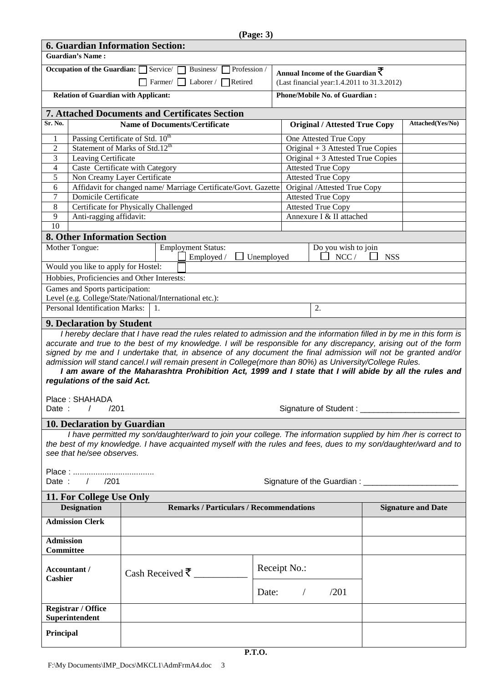|                                                                                                                                                            | <b>6. Guardian Information Section:</b>                                                                                                   |                                      |                                   |                                                |                                   |                   |                                                        |                                              |                                                |            |                                                                                                                                                                                                                                                                                                                                             |  |  |  |
|------------------------------------------------------------------------------------------------------------------------------------------------------------|-------------------------------------------------------------------------------------------------------------------------------------------|--------------------------------------|-----------------------------------|------------------------------------------------|-----------------------------------|-------------------|--------------------------------------------------------|----------------------------------------------|------------------------------------------------|------------|---------------------------------------------------------------------------------------------------------------------------------------------------------------------------------------------------------------------------------------------------------------------------------------------------------------------------------------------|--|--|--|
|                                                                                                                                                            | <b>Guardian's Name:</b>                                                                                                                   |                                      |                                   |                                                |                                   |                   |                                                        |                                              |                                                |            |                                                                                                                                                                                                                                                                                                                                             |  |  |  |
| Occupation of the Guardian: $\Box$ Service/<br>Profession /<br>Business/<br>Annual Income of the Guardian $\overline{\boldsymbol{\mathcal{\overline{T}}}}$ |                                                                                                                                           |                                      |                                   |                                                |                                   |                   |                                                        |                                              |                                                |            |                                                                                                                                                                                                                                                                                                                                             |  |  |  |
| Farmer/ Laborer / $\Box$ Retired                                                                                                                           |                                                                                                                                           |                                      |                                   |                                                |                                   |                   |                                                        | (Last financial year: 1.4.2011 to 31.3.2012) |                                                |            |                                                                                                                                                                                                                                                                                                                                             |  |  |  |
| <b>Phone/Mobile No. of Guardian:</b><br><b>Relation of Guardian with Applicant:</b>                                                                        |                                                                                                                                           |                                      |                                   |                                                |                                   |                   |                                                        |                                              |                                                |            |                                                                                                                                                                                                                                                                                                                                             |  |  |  |
|                                                                                                                                                            | 7. Attached Documents and Certificates Section                                                                                            |                                      |                                   |                                                |                                   |                   |                                                        |                                              |                                                |            |                                                                                                                                                                                                                                                                                                                                             |  |  |  |
| Sr. No.                                                                                                                                                    |                                                                                                                                           | <b>Name of Documents/Certificate</b> |                                   |                                                |                                   |                   |                                                        |                                              | <b>Original / Attested True Copy</b>           |            | Attached(Yes/No)                                                                                                                                                                                                                                                                                                                            |  |  |  |
| $\mathbf{1}$                                                                                                                                               | Passing Certificate of Std. 10 <sup>th</sup>                                                                                              |                                      | One Attested True Copy            |                                                |                                   |                   |                                                        |                                              |                                                |            |                                                                                                                                                                                                                                                                                                                                             |  |  |  |
| $\overline{2}$                                                                                                                                             | Statement of Marks of Std.12 <sup>th</sup>                                                                                                |                                      | Original + 3 Attested True Copies |                                                |                                   |                   |                                                        |                                              |                                                |            |                                                                                                                                                                                                                                                                                                                                             |  |  |  |
| 3                                                                                                                                                          | Leaving Certificate                                                                                                                       |                                      |                                   |                                                | Original + 3 Attested True Copies |                   |                                                        |                                              |                                                |            |                                                                                                                                                                                                                                                                                                                                             |  |  |  |
| $\overline{4}$                                                                                                                                             | Caste Certificate with Category                                                                                                           |                                      |                                   |                                                |                                   |                   | <b>Attested True Copy</b><br><b>Attested True Copy</b> |                                              |                                                |            |                                                                                                                                                                                                                                                                                                                                             |  |  |  |
| 5                                                                                                                                                          | Non Creamy Layer Certificate                                                                                                              |                                      |                                   |                                                |                                   |                   |                                                        |                                              |                                                |            |                                                                                                                                                                                                                                                                                                                                             |  |  |  |
| 6<br>7                                                                                                                                                     | Affidavit for changed name/ Marriage Certificate/Govt. Gazette<br><b>Domicile Certificate</b>                                             |                                      |                                   |                                                |                                   |                   |                                                        | <b>Attested True Copy</b>                    | Original /Attested True Copy                   |            |                                                                                                                                                                                                                                                                                                                                             |  |  |  |
| 8                                                                                                                                                          | Certificate for Physically Challenged                                                                                                     |                                      |                                   |                                                |                                   |                   |                                                        | <b>Attested True Copy</b>                    |                                                |            |                                                                                                                                                                                                                                                                                                                                             |  |  |  |
| 9                                                                                                                                                          | Anti-ragging affidavit:                                                                                                                   |                                      |                                   |                                                |                                   |                   |                                                        | Annexure I & II attached                     |                                                |            |                                                                                                                                                                                                                                                                                                                                             |  |  |  |
| 10                                                                                                                                                         |                                                                                                                                           |                                      |                                   |                                                |                                   |                   |                                                        |                                              |                                                |            |                                                                                                                                                                                                                                                                                                                                             |  |  |  |
|                                                                                                                                                            | <b>8. Other Information Section</b>                                                                                                       |                                      |                                   |                                                |                                   |                   |                                                        |                                              |                                                |            |                                                                                                                                                                                                                                                                                                                                             |  |  |  |
|                                                                                                                                                            | Mother Tongue:                                                                                                                            |                                      |                                   | <b>Employment Status:</b><br>Employed /        |                                   |                   |                                                        |                                              | Do you wish to join<br>NCC/                    | <b>NSS</b> |                                                                                                                                                                                                                                                                                                                                             |  |  |  |
|                                                                                                                                                            | Would you like to apply for Hostel:                                                                                                       |                                      |                                   |                                                |                                   | $\Box$ Unemployed |                                                        |                                              |                                                |            |                                                                                                                                                                                                                                                                                                                                             |  |  |  |
|                                                                                                                                                            | Hobbies, Proficiencies and Other Interests:                                                                                               |                                      |                                   |                                                |                                   |                   |                                                        |                                              |                                                |            |                                                                                                                                                                                                                                                                                                                                             |  |  |  |
|                                                                                                                                                            | Games and Sports participation:                                                                                                           |                                      |                                   |                                                |                                   |                   |                                                        |                                              |                                                |            |                                                                                                                                                                                                                                                                                                                                             |  |  |  |
|                                                                                                                                                            | Level (e.g. College/State/National/International etc.):                                                                                   |                                      |                                   |                                                |                                   |                   |                                                        |                                              |                                                |            |                                                                                                                                                                                                                                                                                                                                             |  |  |  |
|                                                                                                                                                            | <b>Personal Identification Marks:</b>                                                                                                     |                                      | $\mathbf{1}$ .                    |                                                |                                   |                   |                                                        | 2.                                           |                                                |            |                                                                                                                                                                                                                                                                                                                                             |  |  |  |
|                                                                                                                                                            |                                                                                                                                           |                                      |                                   |                                                |                                   |                   |                                                        |                                              |                                                |            |                                                                                                                                                                                                                                                                                                                                             |  |  |  |
|                                                                                                                                                            | <b>9. Declaration by Student</b>                                                                                                          |                                      |                                   |                                                |                                   |                   |                                                        |                                              |                                                |            | I hereby declare that I have read the rules related to admission and the information filled in by me in this form is                                                                                                                                                                                                                        |  |  |  |
|                                                                                                                                                            | admission will stand cancel. I will remain present in College(more than 80%) as University/College Rules.<br>regulations of the said Act. |                                      |                                   |                                                |                                   |                   |                                                        |                                              |                                                |            | accurate and true to the best of my knowledge. I will be responsible for any discrepancy, arising out of the form<br>signed by me and I undertake that, in absence of any document the final admission will not be granted and/or<br>I am aware of the Maharashtra Prohibition Act, 1999 and I state that I will abide by all the rules and |  |  |  |
|                                                                                                                                                            | Place: SHAHADA                                                                                                                            |                                      |                                   |                                                |                                   |                   |                                                        |                                              |                                                |            |                                                                                                                                                                                                                                                                                                                                             |  |  |  |
| Date :                                                                                                                                                     | $\sqrt{2}$<br>/201                                                                                                                        |                                      |                                   |                                                |                                   |                   |                                                        | Signature of Student:                        |                                                |            |                                                                                                                                                                                                                                                                                                                                             |  |  |  |
|                                                                                                                                                            |                                                                                                                                           |                                      |                                   |                                                |                                   |                   |                                                        |                                              |                                                |            |                                                                                                                                                                                                                                                                                                                                             |  |  |  |
|                                                                                                                                                            | 10. Declaration by Guardian                                                                                                               |                                      |                                   |                                                |                                   |                   |                                                        |                                              |                                                |            |                                                                                                                                                                                                                                                                                                                                             |  |  |  |
|                                                                                                                                                            | see that he/see observes.                                                                                                                 |                                      |                                   |                                                |                                   |                   |                                                        |                                              |                                                |            | I have permitted my son/daughter/ward to join your college. The information supplied by him /her is correct to<br>the best of my knowledge. I have acquainted myself with the rules and fees, dues to my son/daughter/ward and to                                                                                                           |  |  |  |
|                                                                                                                                                            | Date: / /201                                                                                                                              |                                      |                                   |                                                |                                   |                   |                                                        |                                              | Signature of the Guardian: ___________________ |            |                                                                                                                                                                                                                                                                                                                                             |  |  |  |
|                                                                                                                                                            | 11. For College Use Only                                                                                                                  |                                      |                                   |                                                |                                   |                   |                                                        |                                              |                                                |            |                                                                                                                                                                                                                                                                                                                                             |  |  |  |
|                                                                                                                                                            | <b>Designation</b><br><b>Admission Clerk</b>                                                                                              |                                      |                                   | <b>Remarks / Particulars / Recommendations</b> |                                   |                   |                                                        |                                              |                                                |            | <b>Signature and Date</b>                                                                                                                                                                                                                                                                                                                   |  |  |  |
|                                                                                                                                                            |                                                                                                                                           |                                      |                                   |                                                |                                   |                   |                                                        |                                              |                                                |            |                                                                                                                                                                                                                                                                                                                                             |  |  |  |
| <b>Admission</b><br>Committee                                                                                                                              |                                                                                                                                           |                                      |                                   |                                                |                                   |                   |                                                        |                                              |                                                |            |                                                                                                                                                                                                                                                                                                                                             |  |  |  |
| Cashier                                                                                                                                                    | Accountant /<br>Cash Received $\bar{\zeta}$                                                                                               |                                      |                                   |                                                |                                   |                   | Receipt No.:                                           |                                              |                                                |            |                                                                                                                                                                                                                                                                                                                                             |  |  |  |
|                                                                                                                                                            |                                                                                                                                           |                                      |                                   |                                                |                                   | Date:             | $\sqrt{2}$                                             | /201                                         |                                                |            |                                                                                                                                                                                                                                                                                                                                             |  |  |  |
|                                                                                                                                                            | <b>Registrar / Office</b><br>Superintendent                                                                                               |                                      |                                   |                                                |                                   |                   |                                                        |                                              |                                                |            |                                                                                                                                                                                                                                                                                                                                             |  |  |  |
| Principal                                                                                                                                                  |                                                                                                                                           |                                      |                                   |                                                |                                   |                   |                                                        |                                              |                                                |            |                                                                                                                                                                                                                                                                                                                                             |  |  |  |